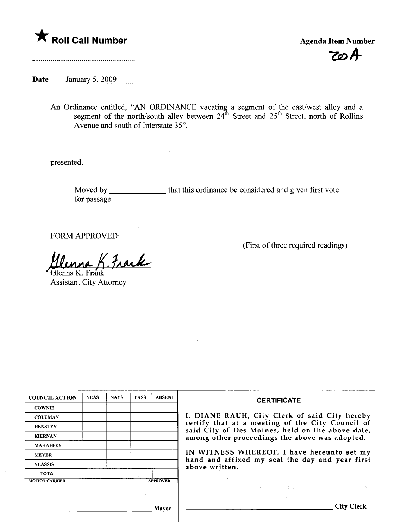

 $70-$ 

Date **manual** <u>January 5, 2009</u>.

An Ordinance entitled, "AN ORDINANCE vacating a segment of the east/west alley and a segment of the north/south alley between  $24^{\text{th}}$  Street and  $25^{\text{th}}$  Street, north of Rollins Avenue and south of Interstate 35",

presented.

Moved by \_\_\_\_\_\_\_\_\_\_\_\_\_\_\_\_ that this ordinance be considered and given first vote for passage.

FORM APPROVED:

llunna K. Frank

Assistant City Attorney

| <b>COUNCIL ACTION</b> | <b>YEAS</b> | <b>NAYS</b>     | <b>PASS</b> | <b>ABSENT</b> | <b>CERTIFICATE</b>                                                                                                                                                                                                                                                        |  |  |
|-----------------------|-------------|-----------------|-------------|---------------|---------------------------------------------------------------------------------------------------------------------------------------------------------------------------------------------------------------------------------------------------------------------------|--|--|
| <b>COWNIE</b>         |             |                 |             |               |                                                                                                                                                                                                                                                                           |  |  |
| <b>COLEMAN</b>        |             |                 |             |               | I, DIANE RAUH, City Clerk of said City hereby                                                                                                                                                                                                                             |  |  |
| <b>HENSLEY</b>        |             |                 |             |               | certify that at a meeting of the City Council of<br>said City of Des Moines, held on the above date,<br>among other proceedings the above was adopted.<br>IN WITNESS WHEREOF, I have hereunto set my<br>hand and affixed my seal the day and year first<br>above written. |  |  |
| <b>KIERNAN</b>        |             |                 |             |               |                                                                                                                                                                                                                                                                           |  |  |
| <b>MAHAFFEY</b>       |             |                 |             |               |                                                                                                                                                                                                                                                                           |  |  |
| <b>MEYER</b>          |             |                 |             |               |                                                                                                                                                                                                                                                                           |  |  |
| <b>VLASSIS</b>        |             |                 |             |               |                                                                                                                                                                                                                                                                           |  |  |
| <b>TOTAL</b>          |             |                 |             |               |                                                                                                                                                                                                                                                                           |  |  |
| <b>MOTION CARRIED</b> |             | <b>APPROVED</b> |             |               |                                                                                                                                                                                                                                                                           |  |  |
|                       |             |                 |             |               |                                                                                                                                                                                                                                                                           |  |  |
|                       |             |                 |             |               |                                                                                                                                                                                                                                                                           |  |  |
| Mayor                 |             |                 |             |               | City Clerk                                                                                                                                                                                                                                                                |  |  |

(First of three required readings)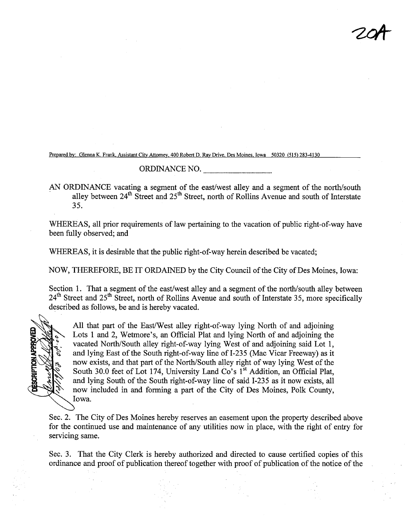'2

Prepared by: Glenna K. Frank, Assistant City Attorney, 400 Robert D. Ray Drive, Des Moines, Iowa 50320 (515) 283-4130

## ORDINANCE NO.

AN ORDINANCE vacating a segment of the east/west alley and a segment of the north/south alley between 24<sup>th</sup> Street and 25<sup>th</sup> Street, north of Rollins Avenue and south of Interstate 35.

WHEREAS, all prior requirements of law pertaining to the vacation of public right-of-way have been fully observed; and

WHEREAS, it is desirable that the public right-of-way herein described be vacated;

NOW, THEREFORE, BE IT ORDAINED by the City Council of the City of Des Moines, Iowa:

Section 1. That a segment of the east/west alley and a segment of the north/south alley between 24<sup>th</sup> Street and 25<sup>th</sup> Street, north of Rollins Avenue and south of Interstate 35, more specifically described as follows, be and is hereby vacated.



All that part of the East/West alley right-of-way lying North of and adjoining Lots 1 and 2, Wetmore's, an Official Plat and lying North of and adjoining the vacated North/South alley right-of-way lying West of and adjoining said Lot 1, and lying East of the South right-of-way line of 1-235 (Mac Vicar Freeway) as it now exists, and that part of the North/South alley right of way lying West of the South 30.0 feet of Lot 174, University Land Co's 1<sup>st</sup> Addition, an Official Plat, and lying South of the South right-of-way line of said 1-235 as it now exists, all now included in and forming a part of the City of Des Moines, Polk County, Iowa.

Sec. 2. The City of Des Moines hereby reserves an easement upon the property described above for the continued use and maintenance of any utilities now in place, with the right of entry for servicing same.

Sec. 3. That the City Clerk is hereby authorized and directed to cause certified copies of this ordinance and proof of publication thereof together with proof of publication of the notice of the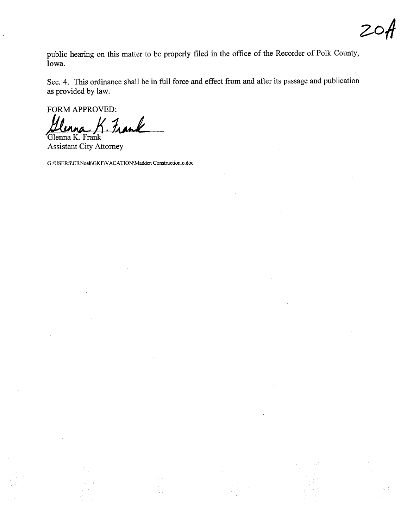public hearing on this matter to be properly filed in the office of the Recorder of Polk County, Iowa.

Sec. 4. This ordinance shall be in full force and effect from and after its passage and publication as provided by law.

FORM APPROVED:

Fran Glenna K. Frank

**Assistant City Attorney** 

G:\USERS\CRNoah\GKF\VACATION\Madden Construction.o.doc